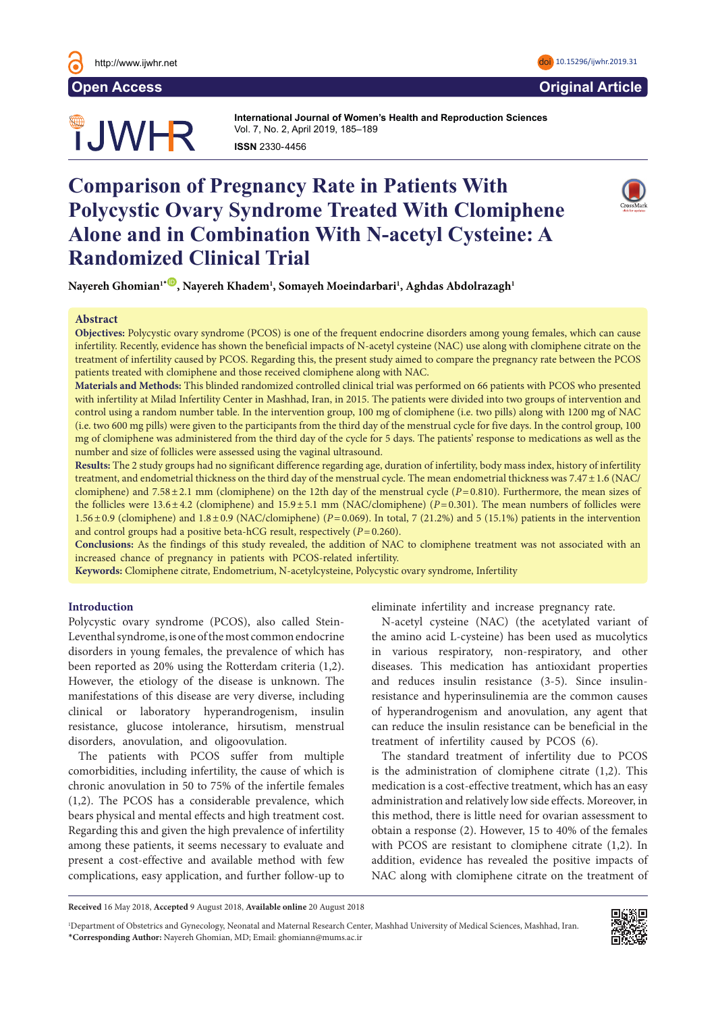# TJWHR

**International Journal of Women's Health and Reproduction Sciences**  Vol. 7, No. 2, April 2019, 185–189 **ISSN 2330-4456** 

# **Comparison of Pregnancy Rate in Patients With Polycystic Ovary Syndrome Treated With Clomiphene Alone and in Combination With N-acetyl Cysteine: A Randomized Clinical Trial**



 $N$ ayereh Ghomian' $^{\ast}$ ®, Nayereh Khadem<sup>1</sup>, Somayeh Moeindarbari<sup>1</sup>, Aghdas Abdolrazagh<sup>1</sup>

#### **Abstract**

**Objectives:** Polycystic ovary syndrome (PCOS) is one of the frequent endocrine disorders among young females, which can cause infertility. Recently, evidence has shown the beneficial impacts of N-acetyl cysteine (NAC) use along with clomiphene citrate on the treatment of infertility caused by PCOS. Regarding this, the present study aimed to compare the pregnancy rate between the PCOS patients treated with clomiphene and those received clomiphene along with NAC.

**Materials and Methods:** This blinded randomized controlled clinical trial was performed on 66 patients with PCOS who presented with infertility at Milad Infertility Center in Mashhad, Iran, in 2015. The patients were divided into two groups of intervention and control using a random number table. In the intervention group, 100 mg of clomiphene (i.e. two pills) along with 1200 mg of NAC (i.e. two 600 mg pills) were given to the participants from the third day of the menstrual cycle for five days. In the control group, 100 mg of clomiphene was administered from the third day of the cycle for 5 days. The patients' response to medications as well as the number and size of follicles were assessed using the vaginal ultrasound.

**Results:** The 2 study groups had no significant difference regarding age, duration of infertility, body mass index, history of infertility treatment, and endometrial thickness on the third day of the menstrual cycle. The mean endometrial thickness was 7.47±1.6 (NAC/ clomiphene) and 7.58±2.1 mm (clomiphene) on the 12th day of the menstrual cycle (*P*=0.810). Furthermore, the mean sizes of the follicles were 13.6±4.2 (clomiphene) and 15.9±5.1 mm (NAC/clomiphene) (*P*=0.301). The mean numbers of follicles were 1.56±0.9 (clomiphene) and 1.8±0.9 (NAC/clomiphene) (*P*=0.069). In total, 7 (21.2%) and 5 (15.1%) patients in the intervention and control groups had a positive beta-hCG result, respectively (*P*=0.260).

**Conclusions:** As the findings of this study revealed, the addition of NAC to clomiphene treatment was not associated with an increased chance of pregnancy in patients with PCOS-related infertility.

**Keywords:** Clomiphene citrate, Endometrium, N-acetylcysteine, Polycystic ovary syndrome, Infertility

#### **Introduction**

Polycystic ovary syndrome (PCOS), also called Stein-Leventhal syndrome, is one of the most common endocrine disorders in young females, the prevalence of which has been reported as 20% using the Rotterdam criteria (1,2). However, the etiology of the disease is unknown. The manifestations of this disease are very diverse, including clinical or laboratory hyperandrogenism, insulin resistance, glucose intolerance, hirsutism, menstrual disorders, anovulation, and oligoovulation.

The patients with PCOS suffer from multiple comorbidities, including infertility, the cause of which is chronic anovulation in 50 to 75% of the infertile females (1,2). The PCOS has a considerable prevalence, which bears physical and mental effects and high treatment cost. Regarding this and given the high prevalence of infertility among these patients, it seems necessary to evaluate and present a cost-effective and available method with few complications, easy application, and further follow-up to

eliminate infertility and increase pregnancy rate.

N-acetyl cysteine (NAC) (the acetylated variant of the amino acid L-cysteine) has been used as mucolytics in various respiratory, non-respiratory, and other diseases. This medication has antioxidant properties and reduces insulin resistance (3-5). Since insulinresistance and hyperinsulinemia are the common causes of hyperandrogenism and anovulation, any agent that can reduce the insulin resistance can be beneficial in the treatment of infertility caused by PCOS (6).

The standard treatment of infertility due to PCOS is the administration of clomiphene citrate (1,2). This medication is a cost-effective treatment, which has an easy administration and relatively low side effects. Moreover, in this method, there is little need for ovarian assessment to obtain a response (2). However, 15 to 40% of the females with PCOS are resistant to clomiphene citrate (1,2). In addition, evidence has revealed the positive impacts of NAC along with clomiphene citrate on the treatment of

**Received** 16 May 2018, **Accepted** 9 August 2018, **Available online** 20 August 2018

<sup>1</sup> Department of Obstetrics and Gynecology, Neonatal and Maternal Research Center, Mashhad University of Medical Sciences, Mashhad, Iran. \***Corresponding Author:** Nayereh Ghomian, MD; Email: ghomiann@mums.ac.ir



<http://www.ijwhr.net> doi [10.15296/ijwhr.2019.31](https://doi.org/10.15296/ijwhr.2019.31)

**Open Access Original Article**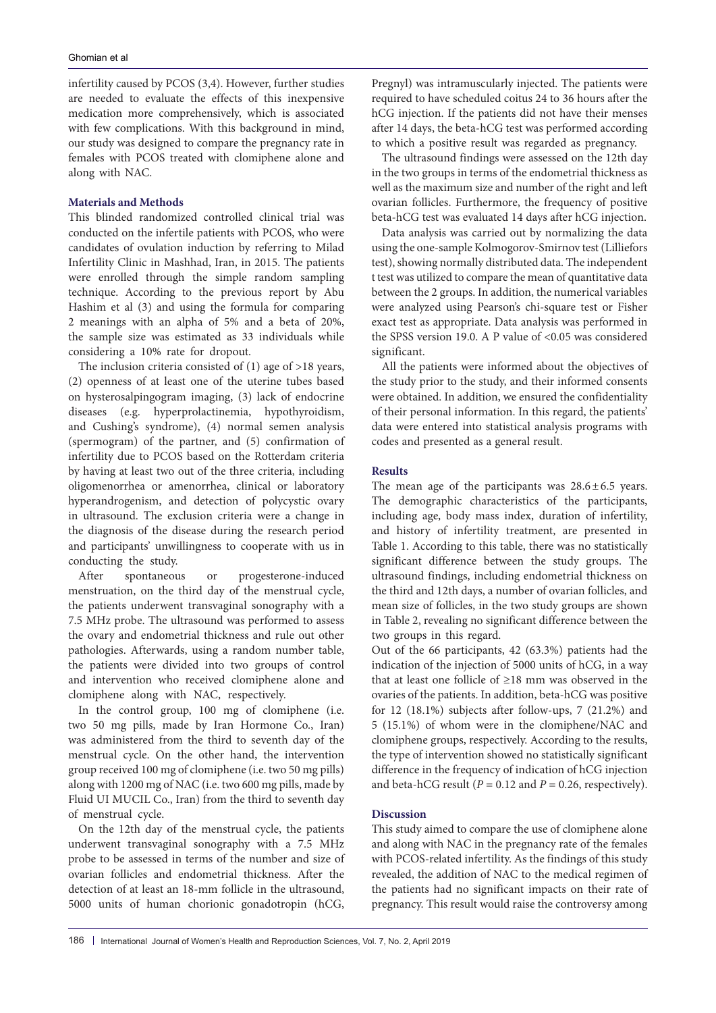infertility caused by PCOS (3,4). However, further studies are needed to evaluate the effects of this inexpensive medication more comprehensively, which is associated with few complications. With this background in mind, our study was designed to compare the pregnancy rate in females with PCOS treated with clomiphene alone and along with NAC.

# **Materials and Methods**

This blinded randomized controlled clinical trial was conducted on the infertile patients with PCOS, who were candidates of ovulation induction by referring to Milad Infertility Clinic in Mashhad, Iran, in 2015. The patients were enrolled through the simple random sampling technique. According to the previous report by Abu Hashim et al (3) and using the formula for comparing 2 meanings with an alpha of 5% and a beta of 20%, the sample size was estimated as 33 individuals while considering a 10% rate for dropout.

The inclusion criteria consisted of (1) age of >18 years, (2) openness of at least one of the uterine tubes based on hysterosalpingogram imaging, (3) lack of endocrine diseases (e.g. hyperprolactinemia, hypothyroidism, and Cushing's syndrome), (4) normal semen analysis (spermogram) of the partner, and (5) confirmation of infertility due to PCOS based on the Rotterdam criteria by having at least two out of the three criteria, including oligomenorrhea or amenorrhea, clinical or laboratory hyperandrogenism, and detection of polycystic ovary in ultrasound. The exclusion criteria were a change in the diagnosis of the disease during the research period and participants' unwillingness to cooperate with us in conducting the study.

After spontaneous or progesterone-induced menstruation, on the third day of the menstrual cycle, the patients underwent transvaginal sonography with a 7.5 MHz probe. The ultrasound was performed to assess the ovary and endometrial thickness and rule out other pathologies. Afterwards, using a random number table, the patients were divided into two groups of control and intervention who received clomiphene alone and clomiphene along with NAC, respectively.

In the control group, 100 mg of clomiphene (i.e. two 50 mg pills, made by Iran Hormone Co., Iran) was administered from the third to seventh day of the menstrual cycle. On the other hand, the intervention group received 100 mg of clomiphene (i.e. two 50 mg pills) along with 1200 mg of NAC (i.e. two 600 mg pills, made by Fluid UI MUCIL Co., Iran) from the third to seventh day of menstrual cycle.

On the 12th day of the menstrual cycle, the patients underwent transvaginal sonography with a 7.5 MHz probe to be assessed in terms of the number and size of ovarian follicles and endometrial thickness. After the detection of at least an 18-mm follicle in the ultrasound, 5000 units of human chorionic gonadotropin (hCG,

Pregnyl) was intramuscularly injected. The patients were required to have scheduled coitus 24 to 36 hours after the hCG injection. If the patients did not have their menses after 14 days, the beta-hCG test was performed according to which a positive result was regarded as pregnancy.

The ultrasound findings were assessed on the 12th day in the two groups in terms of the endometrial thickness as well as the maximum size and number of the right and left ovarian follicles. Furthermore, the frequency of positive beta-hCG test was evaluated 14 days after hCG injection.

Data analysis was carried out by normalizing the data using the one-sample Kolmogorov-Smirnov test (Lilliefors test), showing normally distributed data. The independent t test was utilized to compare the mean of quantitative data between the 2 groups. In addition, the numerical variables were analyzed using Pearson's chi-square test or Fisher exact test as appropriate. Data analysis was performed in the SPSS version 19.0. A P value of <0.05 was considered significant.

All the patients were informed about the objectives of the study prior to the study, and their informed consents were obtained. In addition, we ensured the confidentiality of their personal information. In this regard, the patients' data were entered into statistical analysis programs with codes and presented as a general result.

#### **Results**

The mean age of the participants was  $28.6 \pm 6.5$  years. The demographic characteristics of the participants, including age, body mass index, duration of infertility, and history of infertility treatment, are presented in Table 1. According to this table, there was no statistically significant difference between the study groups. The ultrasound findings, including endometrial thickness on the third and 12th days, a number of ovarian follicles, and mean size of follicles, in the two study groups are shown in Table 2, revealing no significant difference between the two groups in this regard.

Out of the 66 participants, 42 (63.3%) patients had the indication of the injection of 5000 units of hCG, in a way that at least one follicle of ≥18 mm was observed in the ovaries of the patients. In addition, beta-hCG was positive for 12 (18.1%) subjects after follow-ups, 7 (21.2%) and 5 (15.1%) of whom were in the clomiphene/NAC and clomiphene groups, respectively. According to the results, the type of intervention showed no statistically significant difference in the frequency of indication of hCG injection and beta-hCG result ( $P = 0.12$  and  $P = 0.26$ , respectively).

# **Discussion**

This study aimed to compare the use of clomiphene alone and along with NAC in the pregnancy rate of the females with PCOS-related infertility. As the findings of this study revealed, the addition of NAC to the medical regimen of the patients had no significant impacts on their rate of pregnancy. This result would raise the controversy among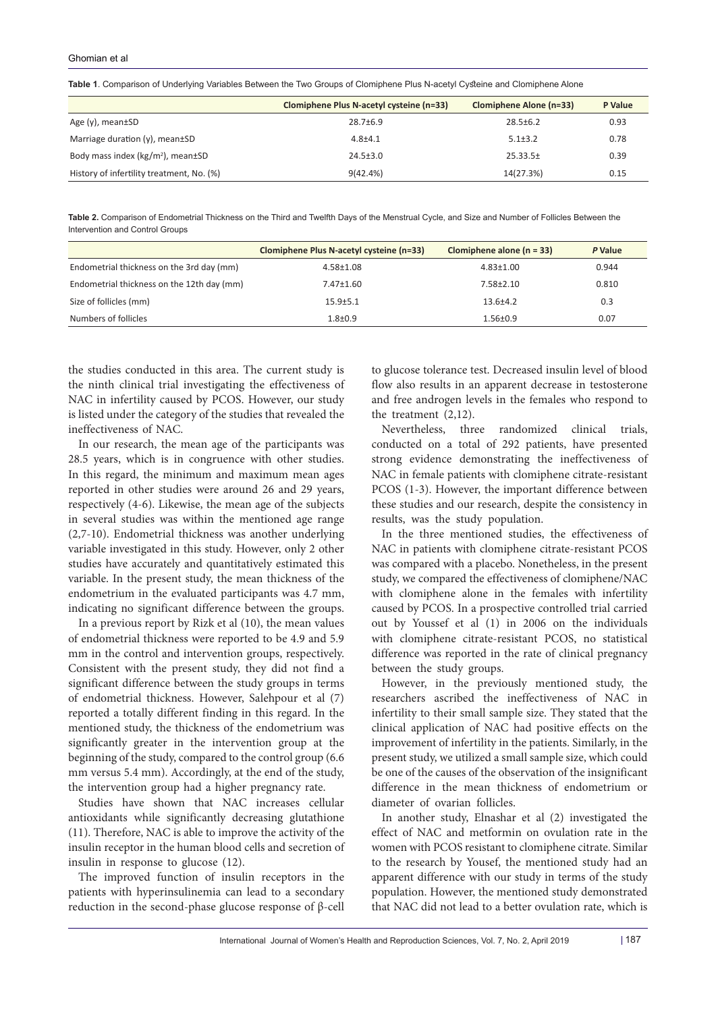|  | Table 1. Comparison of Underlying Variables Between the Two Groups of Clomiphene Plus N-acetyl Cysteine and Clomiphene Alone |  |  |
|--|------------------------------------------------------------------------------------------------------------------------------|--|--|
|  |                                                                                                                              |  |  |

|                                           | Clomiphene Plus N-acetyl cysteine (n=33) | Clomiphene Alone (n=33) | P Value |
|-------------------------------------------|------------------------------------------|-------------------------|---------|
| Age $(v)$ , mean $\pm$ SD                 | $28.7 \pm 6.9$                           | $28.5 \pm 6.2$          | 0.93    |
| Marriage duration (y), mean±SD            | $4.8 + 4.1$                              | $5.1 \pm 3.2$           | 0.78    |
| Body mass index ( $kg/m2$ ), mean $±SD$   | $24.5 \pm 3.0$                           | $25.33.5\pm$            | 0.39    |
| History of infertility treatment, No. (%) | 9(42.4%)                                 | 14(27.3%)               | 0.15    |

**Table 2.** Comparison of Endometrial Thickness on the Third and Twelfth Days of the Menstrual Cycle, and Size and Number of Follicles Between the Intervention and Control Groups

|                                            | Clomiphene Plus N-acetyl cysteine (n=33) | Clomiphene alone $(n = 33)$ | P Value |
|--------------------------------------------|------------------------------------------|-----------------------------|---------|
| Endometrial thickness on the 3rd day (mm)  | $4.58 \pm 1.08$                          | $4.83 \pm 1.00$             | 0.944   |
| Endometrial thickness on the 12th day (mm) | $7.47 \pm 1.60$                          | $7.58 \pm 2.10$             | 0.810   |
| Size of follicles (mm)                     | $15.9 + 5.1$                             | $13.6 + 4.2$                | 0.3     |
| Numbers of follicles                       | $1.8 + 0.9$                              | $1.56 \pm 0.9$              | 0.07    |

the studies conducted in this area. The current study is the ninth clinical trial investigating the effectiveness of NAC in infertility caused by PCOS. However, our study is listed under the category of the studies that revealed the ineffectiveness of NAC.

In our research, the mean age of the participants was 28.5 years, which is in congruence with other studies. In this regard, the minimum and maximum mean ages reported in other studies were around 26 and 29 years, respectively (4-6). Likewise, the mean age of the subjects in several studies was within the mentioned age range (2,7-10). Endometrial thickness was another underlying variable investigated in this study. However, only 2 other studies have accurately and quantitatively estimated this variable. In the present study, the mean thickness of the endometrium in the evaluated participants was 4.7 mm, indicating no significant difference between the groups.

In a previous report by Rizk et al (10), the mean values of endometrial thickness were reported to be 4.9 and 5.9 mm in the control and intervention groups, respectively. Consistent with the present study, they did not find a significant difference between the study groups in terms of endometrial thickness. However, Salehpour et al (7) reported a totally different finding in this regard. In the mentioned study, the thickness of the endometrium was significantly greater in the intervention group at the beginning of the study, compared to the control group (6.6 mm versus 5.4 mm). Accordingly, at the end of the study, the intervention group had a higher pregnancy rate.

Studies have shown that NAC increases cellular antioxidants while significantly decreasing glutathione (11). Therefore, NAC is able to improve the activity of the insulin receptor in the human blood cells and secretion of insulin in response to glucose (12).

The improved function of insulin receptors in the patients with hyperinsulinemia can lead to a secondary reduction in the second-phase glucose response of β-cell

to glucose tolerance test. Decreased insulin level of blood flow also results in an apparent decrease in testosterone and free androgen levels in the females who respond to the treatment (2,12).

Nevertheless, three randomized clinical trials, conducted on a total of 292 patients, have presented strong evidence demonstrating the ineffectiveness of NAC in female patients with clomiphene citrate-resistant PCOS (1-3). However, the important difference between these studies and our research, despite the consistency in results, was the study population.

In the three mentioned studies, the effectiveness of NAC in patients with clomiphene citrate-resistant PCOS was compared with a placebo. Nonetheless, in the present study, we compared the effectiveness of clomiphene/NAC with clomiphene alone in the females with infertility caused by PCOS. In a prospective controlled trial carried out by Youssef et al (1) in 2006 on the individuals with clomiphene citrate-resistant PCOS, no statistical difference was reported in the rate of clinical pregnancy between the study groups.

However, in the previously mentioned study, the researchers ascribed the ineffectiveness of NAC in infertility to their small sample size. They stated that the clinical application of NAC had positive effects on the improvement of infertility in the patients. Similarly, in the present study, we utilized a small sample size, which could be one of the causes of the observation of the insignificant difference in the mean thickness of endometrium or diameter of ovarian follicles.

In another study, Elnashar et al (2) investigated the effect of NAC and metformin on ovulation rate in the women with PCOS resistant to clomiphene citrate. Similar to the research by Yousef, the mentioned study had an apparent difference with our study in terms of the study population. However, the mentioned study demonstrated that NAC did not lead to a better ovulation rate, which is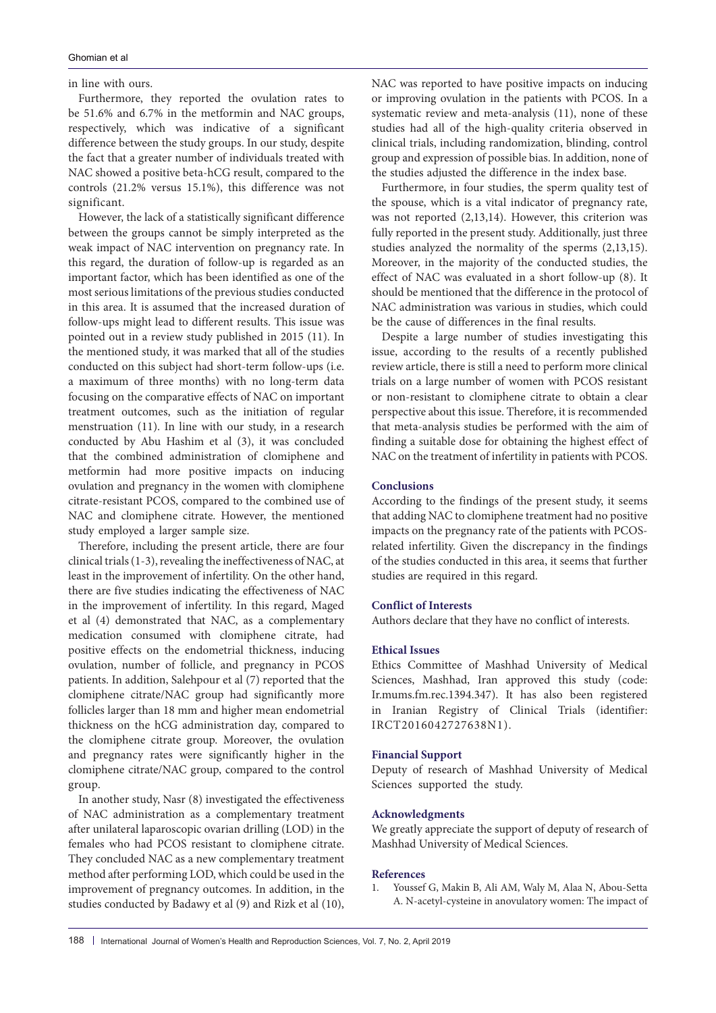#### Ghomian et al

in line with ours.

Furthermore, they reported the ovulation rates to be 51.6% and 6.7% in the metformin and NAC groups, respectively, which was indicative of a significant difference between the study groups. In our study, despite the fact that a greater number of individuals treated with NAC showed a positive beta-hCG result, compared to the controls (21.2% versus 15.1%), this difference was not significant.

However, the lack of a statistically significant difference between the groups cannot be simply interpreted as the weak impact of NAC intervention on pregnancy rate. In this regard, the duration of follow-up is regarded as an important factor, which has been identified as one of the most serious limitations of the previous studies conducted in this area. It is assumed that the increased duration of follow-ups might lead to different results. This issue was pointed out in a review study published in 2015 (11). In the mentioned study, it was marked that all of the studies conducted on this subject had short-term follow-ups (i.e. a maximum of three months) with no long-term data focusing on the comparative effects of NAC on important treatment outcomes, such as the initiation of regular menstruation (11). In line with our study, in a research conducted by Abu Hashim et al (3), it was concluded that the combined administration of clomiphene and metformin had more positive impacts on inducing ovulation and pregnancy in the women with clomiphene citrate-resistant PCOS, compared to the combined use of NAC and clomiphene citrate. However, the mentioned study employed a larger sample size.

Therefore, including the present article, there are four clinical trials (1-3), revealing the ineffectiveness of NAC, at least in the improvement of infertility. On the other hand, there are five studies indicating the effectiveness of NAC in the improvement of infertility. In this regard, Maged et al (4) demonstrated that NAC, as a complementary medication consumed with clomiphene citrate, had positive effects on the endometrial thickness, inducing ovulation, number of follicle, and pregnancy in PCOS patients. In addition, Salehpour et al (7) reported that the clomiphene citrate/NAC group had significantly more follicles larger than 18 mm and higher mean endometrial thickness on the hCG administration day, compared to the clomiphene citrate group. Moreover, the ovulation and pregnancy rates were significantly higher in the clomiphene citrate/NAC group, compared to the control group.

In another study, Nasr (8) investigated the effectiveness of NAC administration as a complementary treatment after unilateral laparoscopic ovarian drilling (LOD) in the females who had PCOS resistant to clomiphene citrate. They concluded NAC as a new complementary treatment method after performing LOD, which could be used in the improvement of pregnancy outcomes. In addition, in the studies conducted by Badawy et al (9) and Rizk et al (10), NAC was reported to have positive impacts on inducing or improving ovulation in the patients with PCOS. In a systematic review and meta-analysis (11), none of these studies had all of the high-quality criteria observed in clinical trials, including randomization, blinding, control group and expression of possible bias. In addition, none of the studies adjusted the difference in the index base.

Furthermore, in four studies, the sperm quality test of the spouse, which is a vital indicator of pregnancy rate, was not reported (2,13,14). However, this criterion was fully reported in the present study. Additionally, just three studies analyzed the normality of the sperms (2,13,15). Moreover, in the majority of the conducted studies, the effect of NAC was evaluated in a short follow-up (8). It should be mentioned that the difference in the protocol of NAC administration was various in studies, which could be the cause of differences in the final results.

Despite a large number of studies investigating this issue, according to the results of a recently published review article, there is still a need to perform more clinical trials on a large number of women with PCOS resistant or non-resistant to clomiphene citrate to obtain a clear perspective about this issue. Therefore, it is recommended that meta-analysis studies be performed with the aim of finding a suitable dose for obtaining the highest effect of NAC on the treatment of infertility in patients with PCOS.

#### **Conclusions**

According to the findings of the present study, it seems that adding NAC to clomiphene treatment had no positive impacts on the pregnancy rate of the patients with PCOSrelated infertility. Given the discrepancy in the findings of the studies conducted in this area, it seems that further studies are required in this regard.

# **Conflict of Interests**

Authors declare that they have no conflict of interests.

### **Ethical Issues**

Ethics Committee of Mashhad University of Medical Sciences, Mashhad, Iran approved this study (code: Ir.mums.fm.rec.1394.347). It has also been registered in Iranian Registry of Clinical Trials (identifier: IRCT2016042727638N1).

#### **Financial Support**

Deputy of research of Mashhad University of Medical Sciences supported the study.

#### **Acknowledgments**

We greatly appreciate the support of deputy of research of Mashhad University of Medical Sciences.

#### **References**

1. Youssef G, Makin B, Ali AM, Waly M, Alaa N, Abou-Setta A. N-acetyl-cysteine in anovulatory women: The impact of